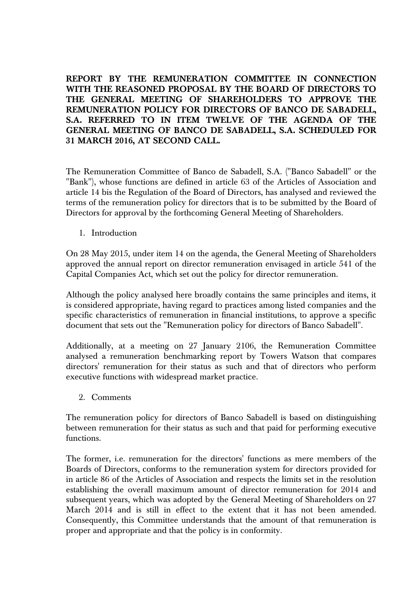**REPORT BY THE REMUNERATION COMMITTEE IN CONNECTION WITH THE REASONED PROPOSAL BY THE BOARD OF DIRECTORS TO THE GENERAL MEETING OF SHAREHOLDERS TO APPROVE THE REMUNERATION POLICY FOR DIRECTORS OF BANCO DE SABADELL, S.A. REFERRED TO IN ITEM TWELVE OF THE AGENDA OF THE GENERAL MEETING OF BANCO DE SABADELL, S.A. SCHEDULED FOR 31 MARCH 2016, AT SECOND CALL.** 

The Remuneration Committee of Banco de Sabadell, S.A. ("Banco Sabadell" or the "Bank"), whose functions are defined in article 63 of the Articles of Association and article 14 bis the Regulation of the Board of Directors, has analysed and reviewed the terms of the remuneration policy for directors that is to be submitted by the Board of Directors for approval by the forthcoming General Meeting of Shareholders.

1. Introduction

On 28 May 2015, under item 14 on the agenda, the General Meeting of Shareholders approved the annual report on director remuneration envisaged in article 541 of the Capital Companies Act, which set out the policy for director remuneration.

Although the policy analysed here broadly contains the same principles and items, it is considered appropriate, having regard to practices among listed companies and the specific characteristics of remuneration in financial institutions, to approve a specific document that sets out the "Remuneration policy for directors of Banco Sabadell".

Additionally, at a meeting on 27 January 2106, the Remuneration Committee analysed a remuneration benchmarking report by Towers Watson that compares directors' remuneration for their status as such and that of directors who perform executive functions with widespread market practice.

2. Comments

The remuneration policy for directors of Banco Sabadell is based on distinguishing between remuneration for their status as such and that paid for performing executive functions.

The former, i.e. remuneration for the directors' functions as mere members of the Boards of Directors, conforms to the remuneration system for directors provided for in article 86 of the Articles of Association and respects the limits set in the resolution establishing the overall maximum amount of director remuneration for 2014 and subsequent years, which was adopted by the General Meeting of Shareholders on 27 March 2014 and is still in effect to the extent that it has not been amended. Consequently, this Committee understands that the amount of that remuneration is proper and appropriate and that the policy is in conformity.